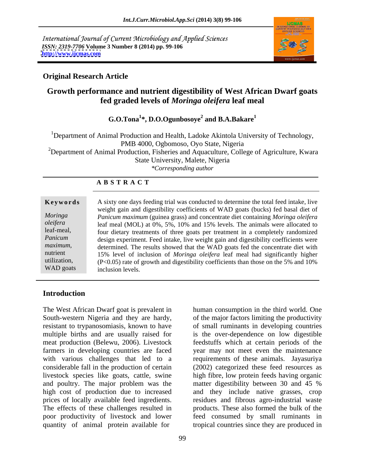International Journal of Current Microbiology and Applied Sciences *ISSN: 2319-7706* **Volume 3 Number 8 (2014) pp. 99-106 <http://www.ijcmas.com>**



## **Original Research Article**

# **Growth performance and nutrient digestibility of West African Dwarf goats fed graded levels of** *Moringa oleifera* **leaf meal**

### **G.O.Tona<sup>1</sup> \*, D.O.Ogunbosoye<sup>2</sup> and B.A.Bakare<sup>1</sup>**

<sup>1</sup>Department of Animal Production and Health, Ladoke Akintola University of Technology, PMB 4000, Ogbomoso, Oyo State, Nigeria <sup>2</sup>Department of Animal Production, Fisheries and Aquaculture, College of Agriculture, Kwara State University, Malete, Nigeria<br>\*Corresponding author *\*Corresponding author*

### **A B S T R A C T**

**Keywords** A sixty one days feeding trial was conducted to determine the total feed intake, live *Moringa Panicum maximum* (guinea grass) and concentrate diet containing *Moringa oleifera oleifera* leaf meal (MOL) at 0%, 5%, 10% and 15% levels. The animals were allocated to leaf-meal, four dietary treatments of three goats per treatment in a completely randomized Panicum design experiment. Feed intake, live weight gain and digestibility coefficients were *maximum*, determined. The results showed that the WAD goats fed the concentrate diet with nutrient and significantly higher determined is the unit of *Moringa oleitera* leaf meal had significantly higher utilization,  $(P<0.05)$  rate of growth and digestibility coefficients than those on the 5% and 10% WAD goats inclusion levels. weight gain and digestibility coefficients of WAD goats (bucks) fed basal diet of 15% level of inclusion of *Moringa oleifera* leaf meal had significantly higher inclusion levels.

### **Introduction**

The West African Dwarf goat is prevalent in South-western Nigeria and they are hardy, of the major factors limiting the productivity resistant to trypanosomiasis, known to have of small ruminants in developing countries multiple births and are usually raised for is the over-dependence on low digestible meat production (Belewu, 2006). Livestock feedstuffs which at certain periods of the farmers in developing countries are faced year may not meet even the maintenance with various challenges that led to a considerable fall in the production of certain (2002) categorized these feed resources as livestock species like goats, cattle, swine high fibre, low protein feeds having organic and poultry. The major problem was the matter digestibility between 30 and 45 % high cost of production due to increased and they include native grasses, crop prices of locally available feed ingredients. residues and fibrous agro-industrial waste The effects of these challenges resulted in products. These also formed the bulk of the poor productivity of livestock and lower feed consumed by small ruminants in quantity of animal protein available for tropical countries since they are produced in

human consumption in the third world. One requirements of these animals. Jayasuriya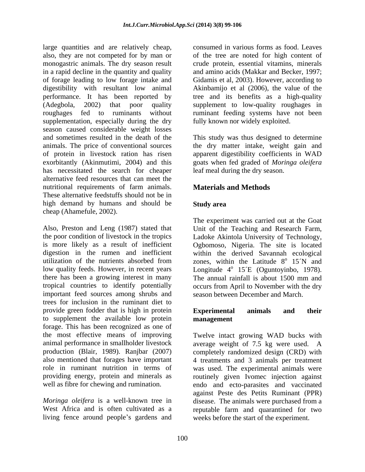large quantities and are relatively cheap, also, they are not competed for by man or monogastric animals. The dry season result crude protein, essential vitamins, minerals in a rapid decline in the quantity and quality and amino acids (Makkar and Becker, 1997; of forage leading to low forage intake and Gidamis et al, 2003). However, according to digestibility with resultant low animal performance. It has been reported by tree and its benefits as a high-quality (Adegbola, 2002) that poor quality supplement to low-quality roughages in roughages fed to ruminants without ruminant feeding systems have not been supplementation, especially during the dry season caused considerable weight losses and sometimes resulted in the death of the This study was thus designed to determine animals. The price of conventional sources the dry matter intake, weight gain and of protein in livestock ration has risen<br>exorbitantly (Akinmutimi, 2004) and this exorbitantly (Akinmutimi, 2004) and this goats when fed graded of *Moringa oleifera* has necessitated the search for cheaper alternative feed resources that can meet the nutritional requirements of farm animals. These alternative feedstuffs should not be in high demand by humans and should be Study area cheap (Ahamefule, 2002).

Also, Preston and Leng (1987) stated that Unit of the Teaching and Research Farm, the poor condition of livestock in the tropics Ladoke Akintola University of Technology, is more likely as a result of inefficient Ogbomoso, Nigeria. The site is located digestion in the rumen and inefficient within the derived Savannah ecological utilization of the nutrients absorbed from zones, within the Latitude  $8^{\circ}$  15°N and low quality feeds. However, in recent years Longitude 4<sup>°</sup> 15 °C (Oguntoyinbo, 1978). there has been a growing interest in many The annual rainfall is about 1500 mm and tropical countries to identify potentially occurs from April to November with the dry important feed sources among shrubs and trees for inclusion in the ruminant diet to provide green fodder that is high in protein **Experimental** animals and their to supplement the available low protein forage. This has been recognized as one of the most effective means of improving Twelve intact growing WAD bucks with animal performance in smallholder livestock average weight of 7.5 kg were used. A production (Blair, 1989). Ranjbar (2007) also mentioned that forages have important 4 treatments and 3 animals per treatment role in ruminant nutrition in terms of was used. The experimental animals were providing energy, protein and minerals as routinely given Ivomec injection against

consumed in various forms as food. Leaves of the tree are noted for high content of Akinbamijo et al (2006), the value of the fully known nor widely exploited.

apparent digestibility coefficients in WAD leaf meal during the dry season.

# **Materials and Methods**

## **Study area**

The experiment was carried out at the Goat  $^{\circ}$  15<sup> $\prime$ </sup>N and 15´N and 15´E (Oguntoyinbo, 1978). The annual rainfall is about 1500 mm and season between December and March.

### **Experimental animals and their management**

well as fibre for chewing and rumination. **endo** and ecto-parasites and vaccinated *Moringa oleifera* is a well-known tree in disease. The animals were purchased from a West Africa and is often cultivated as a reputable farm and quarantined for two living fence around people's gardens and weeks before the start of the experiment. completely randomized design (CRD) with against Peste des Petits Ruminant (PPR)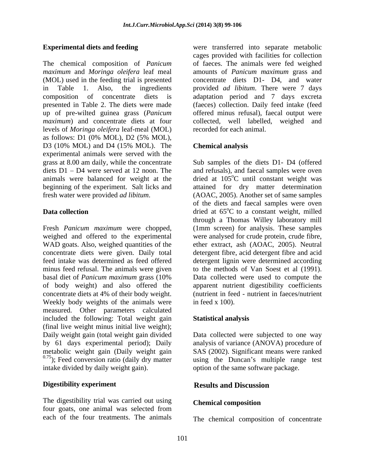The chemical composition of *Panicum maximum* and *Moringa oleifera* leaf meal amounts of *Panicum maximum* grass and (MOL) used in the feeding trial is presented in Table 1. Also, the ingredients provided *ad libitum*. There were 7 days composition of concentrate diets is adaptation period and 7 days excreta presented in Table 2. The diets were made (faeces) collection. Daily feed intake (feed up of pre-wilted guinea grass (*Panicum*  offered minus refusal), faecal output were *maximum*) and concentrate diets at four levels of *Moringa oleifera* leaf-meal (MOL) as follows: D1 (0% MOL), D2 (5% MOL), D3 (10% MOL) and D4 (15% MOL). The **Chemical analysis** experimental animals were served with the grass at 8.00 am daily, while the concentrate Sub samples of the diets D1- D4 (offered diets D1 – D4 were served at 12 noon. The and refusals), and faecal samples were oven animals were balanced for weight at the  $\qquad$  dried at 105 $^{\circ}$ C until constant weight was beginning of the experiment. Salt licks and attained for dry matter determination fresh water were provided *ad libitum*. (AOAC, 2005). Another set of same samples

weighed and offered to the experimental WAD goats. Also, weighed quantities of the minus feed refusal. The animals were given to the methods of Van Soest et al (1991). concentrate diets at 4% of their body weight. Weekly body weights of the animals were in feed x 100). measured. Other parameters calculated included the following: Total weight gain **Statistical analysis** (final live weight minus initial live weight); Daily weight gain (total weight gain divided by 61 days experimental period); Daily analysis of variance (ANOVA) procedure of metabolic weight gain (Daily weight gain SAS (2002). Significant means were ranked  $(0.75)$ ; Feed conversion ratio (daily dry matter intake divided by daily weight gain). intake divided by daily weight gain). option of the same software package.

The digestibility trial was carried out using **Chemical composition** four goats, one animal was selected from

**Experimental diets and feeding** were transferred into separate metabolic cages provided with facilities for collection of faeces. The animals were fed weighed concentrate diets D1- D4, and water collected, well labelled, weighed and recorded for each animal.

### **Chemical analysis**

**Data collection dried** at 65<sup>o</sup>C to a constant weight, milled Fresh *Panicum maximum* were chopped, (1mm screen) for analysis. These samples concentrate diets were given. Daily total detergent fibre, acid detergent fibre and acid feed intake was determined as feed offered detergent lignin were determined according basal diet of *Panicum maximum* grass (10% of body weight) and also offered the apparent nutrient digestibility coefficients <sup>o</sup>C until constant weight was of the diets and faecal samples were oven <sup>o</sup>C to a constant weight, milled through a Thomas Willey laboratory mill were analysed for crude protein, crude fibre, ether extract, ash (AOAC, 2005). Neutral to the methods of Van Soest et al (1991).<br>Data collected were used to compute the (nutrient in feed - nutrient in faeces/nutrient in feed  $x$  100).

### **Statistical analysis**

Data collected were subjected to one way using the Duncan's multiple range test

### **Digestibility experiment Sexually Results and Discussion Results and Discussion**

### **Chemical composition**

each of the four treatments. The animals The chemical composition of concentrate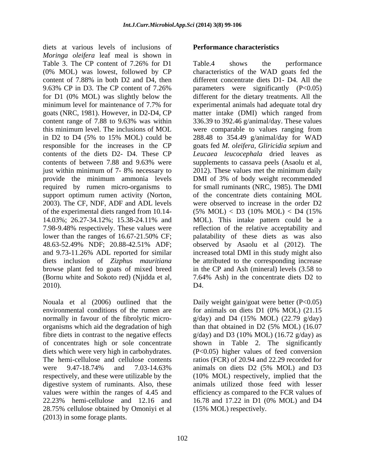diets at various levels of inclusions of *Moringa oleifera* leaf meal is shown in just within minimum of 7-8% necessary to 2012). These values met the minimum daily support optimum rumen activity (Norton, 2003). The CF, NDF, ADF and ADL levels of the experimental diets ranged from 10.14-  $(5\% \text{ MOL}) < D3$  (10% MOL)  $< D4$  (15% diets inclusion of *Zizphus mauritiana*

Nouala et al  $(2006)$  outlined that the Daily weight gain/goat were better  $(P<0.05)$ organisms which aid the degradation of high than that obtained in D2 (5% MOL) (16.07 fibre diets in contrast to the negative effects  $g/day)$  and D3 (10% MOL) (16.72  $g/day)$  as 22.23% hemi-cellulose and 12.16 and 16.78 and 17.22 in D1  $(0\% \text{ MOL})$  and D4 28.75% cellulose obtained by Omoniyi et al (2013) in some forage plants.

Table 3. The CP content of 7.26% for D1 Table.4 shows the performance (0% MOL) was lowest, followed by CP characteristics of the WAD goats fed the content of 7.88% in both D2 and D4, then different concentrate diets D1- D4. All the 9.63% CP in D3. The CP content of 7.26% parameters were significantly (P<0.05) for D1 (0% MOL) was slightly below the different for the dietary treatments. All the minimum level for maintenance of 7.7% for experimental animals had adequate total dry goats (NRC, 1981). However, in D2-D4, CP matter intake (DMI) which ranged from content range of 7.88 to 9.63% was within 336.39 to 392.46 g/animal/day. These values this minimum level. The inclusions of MOL were comparable to values ranging from in D2 to D4 (5% to 15% MOL) could be 288.48 to 354.49 g/animal/day for WAD responsible for the increases in the CP goats fed *M. oleifera, Gliricidia sepium* and contents of the diets D2- D4. These CP *Leucaea leucocephala* dried leaves as contents of between 7.88 and 9.63% were supplements to cassava peels (Asaolu et al, provide the minimum ammonia levels DMI of 3% of body weight recommended required by rumen micro-organisms to for small ruminants (NRC, 1985). The DMI 14.03%; 26.27-34.12%; 15.38-24.11% and 7.98-9.48% respectively. These values were reflection of the relative acceptability and lower than the ranges of 16.67-21.50% CF; and palatability of these diets as was also 48.63-52.49% NDF; 20.88-42.51% ADF; and 9.73-11.26% ADL reported for similar increased total DMI in this study might also browse plant fed to goats of mixed breed in the CP and Ash (mineral) levels (3.58 to (Bornu white and Sokoto red) (Njidda et al*,* 7.64% Ash) in the concentrate diets D2 to 2010). Table.4 shows the performance supplements to cassava peels (Asaolu et al, 2012). These values met the minimum daily of the concentrate diets containing MOL were observed to increase in the order D2  $(5\% \text{ MOL}) <$  D3  $(10\% \text{ MOL}) <$  D4  $(15\%$ MOL). This intake pattern could be a palatability of these diets as was also observed by Asaolu et al (2012). The be attributed to the corresponding increase

environmental conditions of the rumen are for animals on diets D1 (0% MOL) (21.15 normally in favour of the fibrolytic micro- g/day) and D4 (15% MOL) (22.79 g/day) of concentrates high or sole concentrate shown in Table 2. The significantly diets which were very high in carbohydrates. (P<0.05) higher values of feed conversion The hemi-cellulose and cellulose contents ratios (FCR) of 20.94 and 22.29 recorded for were 9.47-18.74% and 7.03-14.63% respectively, and these were utilizable by the (10% MOL) respectively, implied that the digestive system of ruminants. Also, these animals utilized those feed with lesser values were within the ranges of 4.45 and efficiency as compared to the FCR values of D4.<br>Daily weight gain/goat were better (P<0.05) than that obtained in D2 (5% MOL) (16.07 g/day) and D3 (10% MOL) (16.72 g/day) as animals on diets D2 (5% MOL) and D3 16.78 and 17.22 in D1 (0% MOL) and D4 (15% MOL) respectively.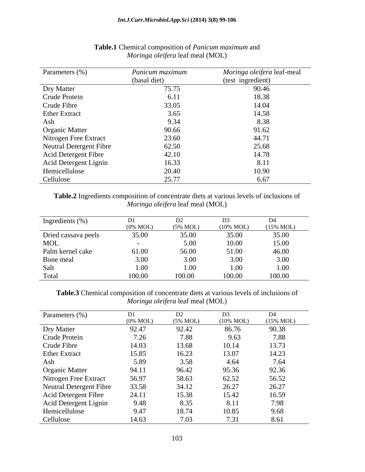| Parameters (%)                 | Panicum maximum | Moringa oleifera leaf-meal |
|--------------------------------|-----------------|----------------------------|
|                                | (basal diet)    | (test ingredient)          |
| Dry Matter                     | 75.75           | 90.46                      |
| Crude Protein                  | 6.11            | 18.38                      |
| Crude Fibre                    | 33.05           | 14.04                      |
| <b>Ether Extract</b>           | 3.65            | 14.58                      |
| Ash                            | 9.34            | 8.38                       |
| <b>Organic Matter</b>          | 90.66           | 91.62                      |
| Nitrogen Free Extract          | 23.60           | 44.71                      |
| <b>Neutral Detergent Fibre</b> | 62.50           | 25.68                      |
| <b>Acid Detergent Fibre</b>    | 42.10           | 14.78                      |
| Acid Detergent Lignin          | 16.33           | 8.11                       |
| Hemicellulose                  | 20.40           | 10.90                      |
| Cellulose                      | 25.77           | 6.67                       |

### **Table.1** Chemical composition of *Panicum maximum* and *Moringa oleifera* leaf meal (MOL)

**Table.2** Ingredients composition of concentrate diets at various levels of inclusions of *Moringa oleifera* leaf meal (MOL)

| Ingredients (%)     |                     |          | D <sub>3</sub>       | D4                   |
|---------------------|---------------------|----------|----------------------|----------------------|
|                     | $(0\% \text{ MOL})$ | (5% MOL) | $(10\% \text{ MOL})$ | $(15\% \text{ MOL})$ |
| Dried cassava peels | 35.00               | 35.00    | 35.00                | 35.00                |
| MOL                 |                     | 5.00     | 10.00                | 15.00                |
| Palm kernel cake    | 61.00               | 56.00    | 51.00                | 46.00                |
| Bone meal           | 3.00                | 3.00     | 3.00                 | 3.00                 |
| Salt                | 1.00                | 00.1     | 1.00                 | 00.1                 |
| Total               | 100.00              | 100.00   | 100.00               | 100.00               |

**Table.3** Chemical composition of concentrate diets at various levels of inclusions of *Moringa oleifera* leaf meal (MOL)

| Parameters (%)                 | DI                  | D2                  | D <sub>3</sub>       | D4                   |
|--------------------------------|---------------------|---------------------|----------------------|----------------------|
|                                | $(0\% \text{ MOL})$ | $(5\% \text{ MOL})$ | $(10\% \text{ MOL})$ | $(15\% \text{ MOL})$ |
| Dry Matter                     | 92.47               | 92.42               | 86.76                | 90.38                |
| Crude Protein                  | 7.26                | 7.88                | 9.63                 | 7.88                 |
| Crude Fibre                    | 14.03               | 13.68               | 10.14                | 13.73                |
| <b>Ether Extract</b>           | 15.85               | 16.23               | 13.07                | 14.23                |
| Ash                            | 5.89                | 3.58                | 4.64                 | 7.64                 |
| <b>Organic Matter</b>          | 94.11               | 96.42               | 95.36                | 92.36                |
| Nitrogen Free Extract          | 56.97               | 58.63               | 62.52                | 56.52                |
| <b>Neutral Detergent Fibre</b> | 33.58               | 34.12               | 26.27                | 26.27                |
| Acid Detergent Fibre           | 24.11               | 15.38               | 15.42                | 16.59                |
| Acid Detergent Lignin          | 9.48                | 8.35                | 8.11                 | 7.98                 |
| Hemicellulose                  | 9.47                | 18.74               | 10.85                | 9.68                 |
| Cellulose                      | 14.63               | 7.03                | 7.31                 | 8.61                 |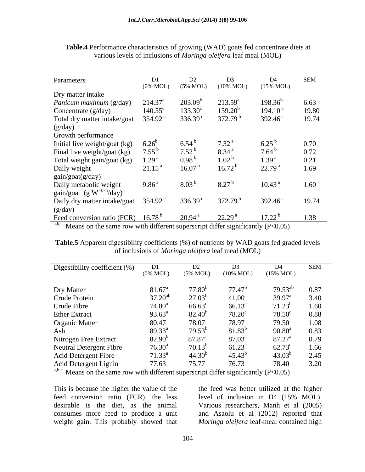| Parameters                                                                                                                                                                                                                                                            |                   |                      |                                                                                   |                      | SEM   |
|-----------------------------------------------------------------------------------------------------------------------------------------------------------------------------------------------------------------------------------------------------------------------|-------------------|----------------------|-----------------------------------------------------------------------------------|----------------------|-------|
|                                                                                                                                                                                                                                                                       |                   |                      | $(0\% \text{ MOL})$ $(5\% \text{ MOL})$ $(10\% \text{ MOL})$ $(15\% \text{ MOL})$ |                      |       |
| Dry matter intake                                                                                                                                                                                                                                                     |                   |                      |                                                                                   |                      |       |
| Panicum maximum (g/day)                                                                                                                                                                                                                                               | $214.37^{\circ}$  | $203.09^{\rm b}$     | $213.59^a$                                                                        | $198.36^{b}$         | 6.63  |
| Concentrate (g/day)                                                                                                                                                                                                                                                   | $140.55^{\circ}$  | $133.30^c$           | $159.20^{b}$                                                                      | 194.10 <sup>a</sup>  | 19.80 |
| Total dry matter intake/goat                                                                                                                                                                                                                                          | 354.92 $^{\circ}$ | 336.39 $^{\circ}$    | 372.79 <sup>b</sup>                                                               | 392.46 <sup>a</sup>  | 19.74 |
|                                                                                                                                                                                                                                                                       |                   |                      |                                                                                   |                      |       |
| $(g/day)$<br>Growth performance                                                                                                                                                                                                                                       |                   |                      |                                                                                   |                      |       |
| Initial live weight/goat (kg) $6.26^b$                                                                                                                                                                                                                                |                   | $6.54^{b}$           | 7.32 <sup>a</sup>                                                                 |                      | 0.70  |
| Final live weight/goat (kg)                                                                                                                                                                                                                                           | $7.55^{b}$        | $7.52^{\mathrm{b}}$  | 8.34 <sup>a</sup>                                                                 | $7.64^{b}$           | 0.72  |
|                                                                                                                                                                                                                                                                       |                   | 0.98 <sup>b</sup>    | 1.02 <sup>b</sup>                                                                 | 1.39 <sup>a</sup>    | 0.21  |
|                                                                                                                                                                                                                                                                       |                   | 16.07 <sup>b</sup>   |                                                                                   | 22.79 <sup>a</sup>   | 1.69  |
|                                                                                                                                                                                                                                                                       |                   |                      | 16.72 <sup>b</sup>                                                                |                      |       |
|                                                                                                                                                                                                                                                                       |                   |                      |                                                                                   |                      |       |
|                                                                                                                                                                                                                                                                       |                   | 8.03 <sup>b</sup>    | 8.27 <sup>b</sup>                                                                 | 10.43 <sup>a</sup>   | 1.60  |
|                                                                                                                                                                                                                                                                       |                   |                      |                                                                                   |                      |       |
| Total weight gain/goat (kg) $1.29^{\circ}$<br>Total weight gain/goat (kg) $1.29^{\circ}$<br>Daily weight $21.15^{\circ}$<br>gain/goat(g/day)<br>Daily metabolic weight $9.86^{\circ}$<br>gain/goat (g W <sup>0.75</sup> /day)<br>Daily dry matter intake/goat $354.9$ |                   | $336.39^{\circ}$     | $372.79$ <sup>t</sup>                                                             | 392.46 <sup>a</sup>  | 19.74 |
|                                                                                                                                                                                                                                                                       |                   |                      |                                                                                   |                      |       |
| $(g/day)$<br>Feed conversion ratio (FCR) 16.78 <sup>b</sup>                                                                                                                                                                                                           |                   | $20.94$ <sup>a</sup> | 22.29 <sup>a</sup>                                                                | $17.22^{\mathrm{b}}$ | 1.38  |

**Table.4** Performance characteristics of growing (WAD) goats fed concentrate diets at various levels of inclusions of *Moringa oleifera* leaf meal (MOL)

a,b,c. Means on the same row with different superscript differ significantly  $(P<0.05)$ 

Table.5 Apparent digestibility coefficients (%) of nutrients by WAD goats fed graded levels of inclusions of *Moringa oleifera* leaf meal (MOL)

| Digestibility coefficient (%)                         |                     |                    |                                                               |                    | <b>SEM</b> |
|-------------------------------------------------------|---------------------|--------------------|---------------------------------------------------------------|--------------------|------------|
|                                                       | $(0\% \text{ MOL})$ |                    | $(5\% \text{ MOL})$ $(10\% \text{ MOL})$ $(15\% \text{ MOL})$ |                    |            |
|                                                       |                     |                    |                                                               |                    |            |
|                                                       | $81.67^{\circ}$     | 77.80 <sup>b</sup> | $77.47^b$                                                     | $79.53^{ab}$       | 0.87       |
| Dry Matter<br>Crude Protein                           | $37.20^{ab}$        | $27.03^{p}$        | $41.00^a$                                                     | $39.97^{\text{a}}$ | 3.40       |
|                                                       | $74.80^{\circ}$     | $66.63^{\circ}$    | $66.13^{\circ}$                                               | $71.23^b$          | 1.60       |
|                                                       | $93.63^{\circ}$     | $82.40^{b}$        | $78.20^{\circ}$                                               | $78.50^{\circ}$    | 0.88       |
|                                                       | 80.47               | 78.07              | 78.97                                                         | 79.50              | 1.08       |
| Crude Fibre<br>Ether Extract<br>Organic Matter<br>Ash | $89.33^{\circ}$     | $79.53^{b}$        | $81.83^{b}$                                                   | $90.80^{\text{a}}$ | 0.83       |
| Nitrogen Free Extract                                 | $82.90^{b}$         | $87.87^{\rm a}$    | $87.03^{\circ}$                                               | $87.27^{\rm a}$    | 0.79       |
| <b>Neutral Detergent Fibre</b>                        | $76.30^{\rm a}$     | $70.13^{b}$        | $61.23^{\circ}$                                               | $62.73^{\circ}$    | 1.66       |
| Acid Detergent Fibre                                  | $71.33^a$           | $44.30^{b}$        | $45.43^{b}$                                                   | $43.03^{b}$        | 2.45       |
| Acid Detergent Lignin                                 | 77.63               | 75.77              | 76.73                                                         | 78.40              | 3.20       |

 $\overline{a,b,c}$ . Means on the same row with different superscript differ significantly (P<0.05)

This is because the higher the value of the the feed was better utilized at the higher feed conversion ratio (FCR), the less level of inclusion in D4 (15% MOL). desirable is the diet, as the animal Various researchers, Manh et al (2005) consumes more feed to produce a unit and Asaolu et al (2012) reported that

weight gain. This probably showed that *Moringa oleifera* leaf-meal contained highlevel of inclusion in D4 (15% MOL).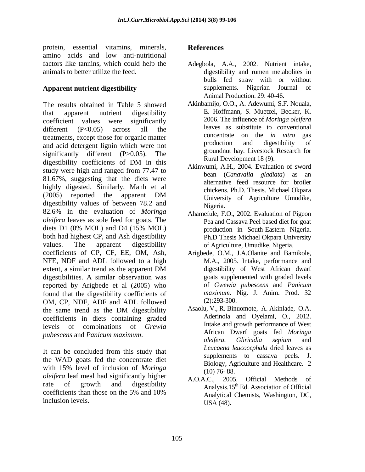protein, essential vitamins, minerals, References amino acids and low anti-nutritional factors like tannins, which could help the Adegbola, A.A., 2002. Nutrient intake, animals to better utilize the feed.

The results obtained in Table 5 showed that apparent nutrient digestibility **E.** Hoffmann, S. Muetzel, Becker, K. coefficient values were significantly 2006. The influence of *Moringa oleifera* different  $(P<0.05)$  across all the leaves as substitute to conventional treatments, except those for organic matter<br>
and eaid determining which were not<br>
treatment and digestibility of and acid detergent lignin which were not significantly different (P>0.05). The digestibility coefficients of DM in this  $\frac{\text{Nula Decupillen (3)}}{\text{Alimumai A II 2004 Euclidean of curved}}$ study were high and ranged from 77.47 to 81.67%, suggesting that the diets were highly digested. Similarly, Manh et al (2005) reported the apparent DM Iniversity of Agriculture Hundike digestibility values of between 78.2 and Nigeria. 82.6% in the evaluation of *Moringa oleifera* leaves as sole feed for goats. The diets D1 (0% MOL) and D4 (15% MOL) broduction in South-Eastern Nigeria. both had highest CP, and Ash digestibility values. The apparent digestibility of Agriculture, Umudike, Nigeria. coefficients of CP, CF, EE, OM, Ash, Arigbede, O.M., J.A.Olanite and Bamikole, NFE, NDF and ADL followed to a high extent, a similar trend as the apparent DM digestibility of West African dwarf digestibilities. A similar observation was reported by Arigbede et al (2005) who found that the digestibility coefficients of maximum. I<br>COM CP NDE ADE and ADI followed (2):293-300. OM, CP, NDF, ADF and ADL followed the same trend as the DM digestibility Assaolu, V., R. Binuomote, A. Akinlade, O.A. coefficients in diets containing graded levels of combinations of *Grewia*  protein, essential virtuining, minierals, **References**<br>protein, essential virtuining, minieral virtuining, References<br>hasten die, A.A., 2002. Nutrient intitials, hasten like hasten like hasten like hasten like hasten like

It can be concluded from this study that the WAD goats fed the concentrate diet with 15% level of inclusion of *Moringa* blongy, Ag (10) 76-88. *oleifera* leaf meal had significantly higher A.O.A.C., 2005. Official Methods of rate of growth and digestibility Analysis.15<sup>th</sup> Ed. Association of Official coefficients than those on the 5% and 10%  $\frac{1}{2}$  Analytical Chemists. Washington DC

- **Apparent nutrient digestibility and supplements.** Nigerian Journal of Adegbola, A.A., 2002. Nutrient intake, digestibility and rumen metabolites in bulls fed straw with or without supplements. Nigerian Journal of Animal Production. 29: 40-46.
	- Akinbamijo, O.O., A. Adewumi, S.F. Nouala, E. Hoffmann, S. Muetzel, Becker, K. 2006. The influence of *Moringa oleifera*  leaves as substitute to conventional concentrate on the *in vitro* production and digestibility of groundnut hay*.* Livestock Research for Rural Development 18 (9).
	- Akinwumi, A.H., 2004. Evaluation of sword bean (*Canavalia gladiata*) as an alternative feed resource for broiler chickens. Ph.D. Thesis. Michael Okpara University of Agriculture Umudike, Nigeria.
	- Ahamefule, F.O., 2002. Evaluation of Pigeon Pea and Cassava Peel based diet for goat production in South-Eastern Nigeria. Ph.D Thesis Michael Okpara University
	- M.A., 2005. Intake, performance and digestibility of West African dwarf goats supplemented with graded levels of *Gwewia pubescens* and *Panicum maximum*. Nig. J. Anim. Prod. 32 (2):293-300.
- *pubescens* and *Panicum maximum*. Asaolu, V., R. Binuomote, A. Akinlade, O.A. Aderinola and Oyelami, O., 2012. Intake and growth performance of West African Dwarf goats fed *Moringa oleifera, Gliricidia sepium* and *Leucaena leucocephala* dried leaves as supplements to cassava peels. J. Biology, Agriculture and Healthcare. 2 (10) 76- 88.
	- A.O.A.C., 2005. Official Methods of Analytical Chemists, Washington, DC, USA (48).